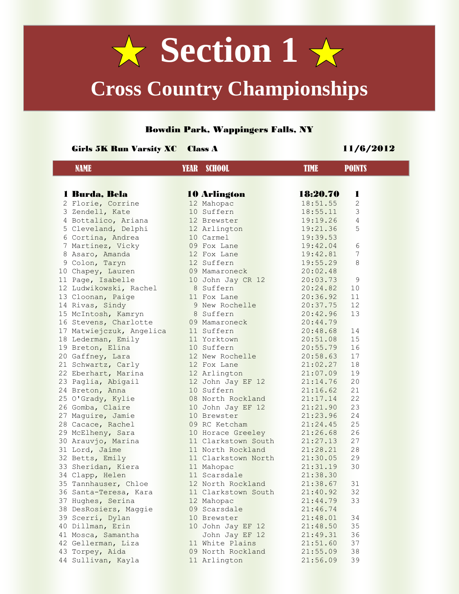

## **Cross Country Championships**

### Bowdin Park, Wappingers Falls, NY

#### Girls 5K Run Varsity XC Class A 11/6/2012

| <b>NAME</b> |                          | <b>YEAR</b> | SCHOOL              | <b>TIME</b> | <b>POINTS</b>  |  |  |
|-------------|--------------------------|-------------|---------------------|-------------|----------------|--|--|
|             |                          |             |                     |             |                |  |  |
|             |                          |             |                     |             |                |  |  |
|             | 1 Burda, Bela            |             | <b>10 Arlington</b> | 18:20.70    | 1              |  |  |
|             | 2 Florie, Corrine        |             | 12 Mahopac          | 18:51.55    | 2              |  |  |
|             | 3 Zendell, Kate          |             | 10 Suffern          | 18:55.11    | 3              |  |  |
|             | 4 Bottalico, Ariana      |             | 12 Brewster         | 19:19.26    | $\overline{4}$ |  |  |
|             | 5 Cleveland, Delphi      |             | 12 Arlington        | 19:21.36    | 5              |  |  |
|             | 6 Cortina, Andrea        |             | 10 Carmel           | 19:39.53    |                |  |  |
|             | 7 Martinez, Vicky        |             | 09 Fox Lane         | 19:42.04    | 6              |  |  |
|             | 8 Asaro, Amanda          |             | 12 Fox Lane         | 19:42.81    | 7              |  |  |
|             | 9 Colon, Taryn           |             | 12 Suffern          | 19:55.29    | $\,8\,$        |  |  |
|             | 10 Chapey, Lauren        |             | 09 Mamaroneck       | 20:02.48    |                |  |  |
|             | 11 Page, Isabelle        |             | 10 John Jay CR 12   | 20:03.73    | $\overline{9}$ |  |  |
|             | 12 Ludwikowski, Rachel   |             | 8 Suffern           | 20:24.82    | 10             |  |  |
|             | 13 Cloonan, Paige        |             | 11 Fox Lane         | 20:36.92    | 11             |  |  |
|             | 14 Rivas, Sindy          |             | 9 New Rochelle      | 20:37.75    | 12             |  |  |
|             | 15 McIntosh, Kamryn      |             | 8 Suffern           | 20:42.96    | 13             |  |  |
|             | 16 Stevens, Charlotte    |             | 09 Mamaroneck       | 20:44.79    |                |  |  |
|             | 17 Matwiejczuk, Angelica |             | 11 Suffern          | 20:48.68    | 14             |  |  |
|             | 18 Lederman, Emily       |             | 11 Yorktown         | 20:51.08    | 15             |  |  |
|             | 19 Breton, Elina         |             | 10 Suffern          | 20:55.79    | 16             |  |  |
|             | 20 Gaffney, Lara         |             | 12 New Rochelle     | 20:58.63    | 17             |  |  |
|             | 21 Schwartz, Carly       |             | 12 Fox Lane         | 21:02.27    | 18             |  |  |
|             | 22 Eberhart, Marina      |             | 12 Arlington        | 21:07.09    | 19             |  |  |
|             | 23 Paglia, Abigail       |             | 12 John Jay EF 12   | 21:14.76    | 20             |  |  |
|             | 24 Breton, Anna          |             | 10 Suffern          | 21:16.62    | 21             |  |  |
|             | 25 O'Grady, Kylie        |             | 08 North Rockland   | 21:17.14    | 22             |  |  |
|             | 26 Gomba, Claire         |             | 10 John Jay EF 12   | 21:21.90    | 23             |  |  |
|             | 27 Maguire, Jamie        |             | 10 Brewster         | 21:23.96    | 24             |  |  |
|             | 28 Cacace, Rachel        |             | 09 RC Ketcham       | 21:24.45    | 25             |  |  |
|             | 29 McElheny, Sara        |             | 10 Horace Greeley   | 21:26.68    | 26             |  |  |
|             | 30 Arauvjo, Marina       |             | 11 Clarkstown South | 21:27.13    | 27             |  |  |
|             | 31 Lord, Jaime           |             | 11 North Rockland   | 21:28.21    | 28             |  |  |
|             | 32 Betts, Emily          |             | 11 Clarkstown North | 21:30.05    | 29             |  |  |
|             | 33 Sheridan, Kiera       |             | 11 Mahopac          | 21:31.19    | 30             |  |  |
|             | 34 Clapp, Helen          |             | 11 Scarsdale        | 21:38.30    |                |  |  |
|             | 35 Tannhauser, Chloe     |             | 12 North Rockland   | 21:38.67    | 31             |  |  |
|             | 36 Santa-Teresa, Kara    |             | 11 Clarkstown South | 21:40.92    | 32             |  |  |
|             | 37 Hughes, Serina        |             | 12 Mahopac          | 21:44.79    | 33             |  |  |
|             | 38 DesRosiers, Maggie    |             | 09 Scarsdale        | 21:46.74    |                |  |  |
|             | 39 Scerri, Dylan         |             | 10 Brewster         | 21:48.01    | 34             |  |  |
|             | 40 Dillman, Erin         |             | 10 John Jay EF 12   | 21:48.50    | 35             |  |  |
|             | 41 Mosca, Samantha       |             | John Jay EF 12      | 21:49.31    | 36             |  |  |
|             | 42 Gellerman, Liza       |             | 11 White Plains     | 21:51.60    | 37             |  |  |
|             | 43 Torpey, Aida          |             | 09 North Rockland   | 21:55.09    | 38             |  |  |
|             | 44 Sullivan, Kayla       |             | 11 Arlington        | 21:56.09    | 39             |  |  |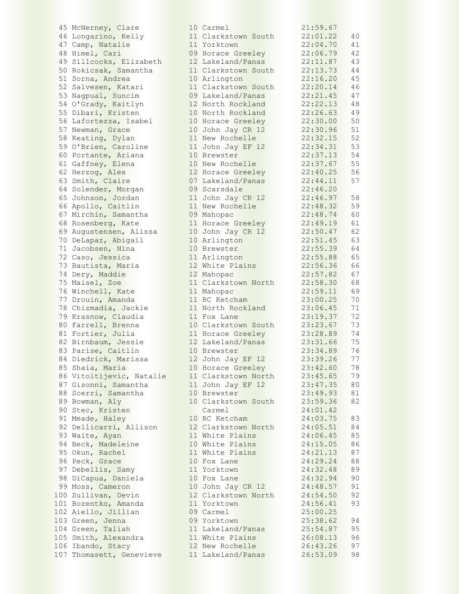45 McNerney, Clare 10 Carmel 21:59.67 46 Longarino, Kelly 11 Clarkstown South 22:01.22 40 47 Camp, Natalie 11 Yorktown 22:04.70 41 48 Himel, Cari 09 Horace Greeley 22:06.79 42 49 Sillcocks, Elizabeth 12 Lakeland/Panas 22:11.87 43 50 Rokicsak, Samantha 11 Clarkstown South 22:13.73 44 51 Sorna, Andrea 10 Arlington 22:16.20 45 52 Salvesen, Katari 11 Clarkstown South 22:20.14 46 53 Nagpual, Suncim 09 Lakeland/Panas 22:21.45 47 54 O'Grady, Kaitlyn 12 North Rockland 22:22.13 48 55 Dibari, Kristen 10 North Rockland 22:26.63 49 56 Lafortezza, Isabel 10 Horace Greeley 22:30.00 50 57 Newman, Grace 10 John Jay CR 12 22:30.96 51 58 Keating, Dylan 11 New Rochelle 22:32.15 52 59 O'Brien, Caroline 11 John Jay EF 12 22:34.31 53 60 Portante, Ariana 10 Brewster 22:37.13 54 61 Gaffney, Elena 10 New Rochelle 22:37.67 55 62 Herzog, Alex 12 Horace Greeley 22:40.25 56 63 Smith, Claire 07 Lakeland/Panas 22:44.11 57 64 Solender, Morgan 09 Scarsdale 22:46.20 65 Johnson, Jordan 11 John Jay CR 12 22:46.97 58 66 Apollo, Caitlin 11 New Rochelle 22:48.32 59 67 Mirchin, Samantha 09 Mahopac 22:48.74 60 68 Rosenberg, Kate 11 Horace Greeley 22:49.19 61 69 Augustensen, Alissa 10 John Jay CR 12 22:50.47 62 70 DeLapaz, Abigail 10 Arlington 22:51.45 63 71 Jacobsen, Nina 10 Brewster 22:55.39 64 72 Caso, Jessica 11 Arlington 22:55.88 65 73 Bautista, Maria 12 White Plains 22:56.36 66 74 Dery, Maddie 12 Mahopac 22:57.82 67 75 Maisel, Zoe 11 Clarkstown North 22:58.30 68 76 Winchell, Kate 11 Mahopac 22:59.11 69 77 Drouin, Amanda 11 RC Ketcham 23:00.25 70 78 Chizmadia, Jackie 11 North Rockland 23:06.45 71 79 Krasnow, Claudia 11 Fox Lane 23:19.37 72 80 Farrell, Brenna 10 Clarkstown South 23:23.67 73 81 Fortier, Julia 11 Horace Greeley 23:28.89 74 82 Birnbaum, Jessie 12 Lakeland/Panas 23:31.66 75 83 Parise, Caitlin 10 Brewster 23:34.89 76 84 Diedrick, Marissa 12 John Jay EF 12 23:39.26 77 85 Shaia, Maria **10 Horace Greeley** 23:42.60 78 86 Vitoltijevic, Natalie 11 Clarkstown North 23:45.65 79 87 Gisonni, Samantha 11 John Jay EF 12 23:47.35 80 88 Scerri, Samantha 10 Brewster 23:49.93 81 89 Bowman, Aly 10 Clarkstown South 23:59.36 82 90 Stec, Kristen Carmel 24:01.42 91 Meade, Haley 10 RC Ketcham 24:03.75 83 92 Dellicarri, Allison 12 Clarkstown North 24:05.51 84 93 Waite, Ayan 11 White Plains 24:06.45 85 94 Beck, Madeleine 10 White Plains 24:15.05 86 95 Okun, Rachel 11 White Plains 24:21.13 87 96 Peck, Grace 10 Fox Lane 24:29.24 88 97 Debellis, Samy 11 Yorktown 24:32.48 89 98 DiCapua, Daniela 10 Fox Lane 24:32.94 90 99 Moss, Cameron 10 John Jay CR 12 24:48.57 91 100 Sullivan, Devin 12 Clarkstown North 24:54.50 92 101 Bozentko, Amanda 11 Yorktown 24:56.41 93 102 Aiello, Jillian 09 Carmel 25:00.25 103 Green, Jenna 09 Yorktown 25:38.62 94 104 Green, Taliah 11 Lakeland/Panas 25:54.87 95 105 Smith, Alexandra 11 White Plains 26:08.13 96 106 Ibando, Stacy 12 New Rochelle 26:43.26 97 107 Thomasett, Genevieve 11 Lakeland/Panas 26:53.09 98